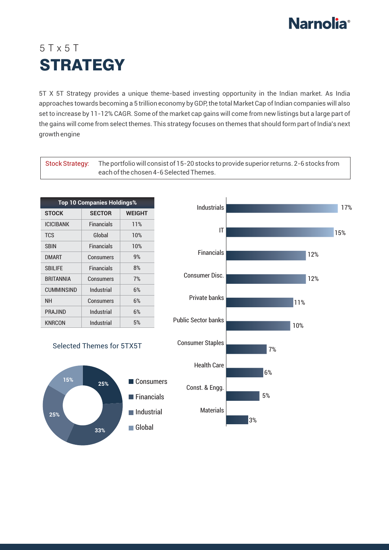

## 5 T x 5 T **STRATEGY**

5T X 5T Strategy provides a unique theme-based investing opportunity in the Indian market. As India approaches towards becoming a 5 trillion economy by GDP, the total Market Cap of Indian companies will also set to increase by 11-12% CAGR. Some of the market cap gains will come from new listings but a large part of the gains will come from select themes. This strategy focuses on themes that should form part of India's next growth engine